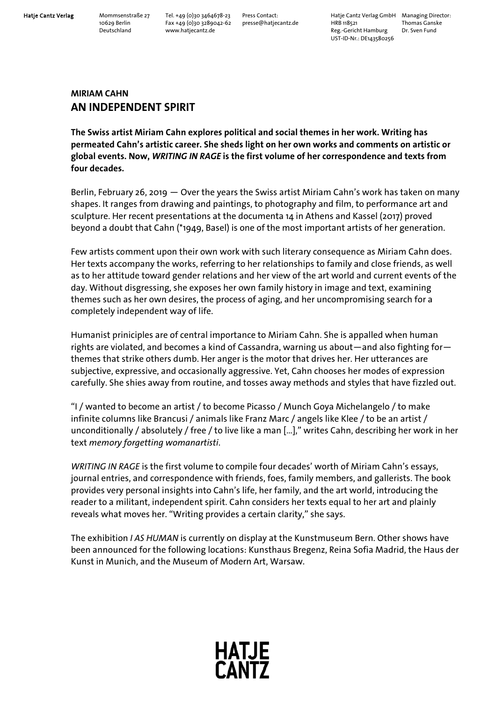www.hatjecantz.de

Hatje Cantz Verlag Mommsenstraße 27 Tel. +49 (0)30 3464678-23 Press Contact: Hatje Cantz Verlag GmbH Managing Director:<br>10629 Berlin Fax +49 (0)30 3289042-62 presse@hatjecantz.de HRB 118521 Thomas Ganske 10629 Berlin Fax +49 (0)30 3289042-62 presse@hatjecantz.de HRB 118521 Thomas Gans<br>Deutschland www.hatjecantz.de example Reg.-Gericht Hamburg Dr. Sven Fund UST-ID-Nr.: DE143580256

## **MIRIAM CAHN AN INDEPENDENT SPIRIT**

**The Swiss artist Miriam Cahn explores political and social themes in her work. Writing has permeated Cahn's artistic career. She sheds light on her own works and comments on artistic or global events. Now,** *WRITING IN RAGE* **is the first volume of her correspondence and texts from four decades.** 

Berlin, February 26, 2019 ― Over the years the Swiss artist Miriam Cahn's work has taken on many shapes. It ranges from drawing and paintings, to photography and film, to performance art and sculpture. Her recent presentations at the documenta 14 in Athens and Kassel (2017) proved beyond a doubt that Cahn (\*1949, Basel) is one of the most important artists of her generation.

Few artists comment upon their own work with such literary consequence as Miriam Cahn does. Her texts accompany the works, referring to her relationships to family and close friends, as well as to her attitude toward gender relations and her view of the art world and current events of the day. Without disgressing, she exposes her own family history in image and text, examining themes such as her own desires, the process of aging, and her uncompromising search for a completely independent way of life.

Humanist priniciples are of central importance to Miriam Cahn. She is appalled when human rights are violated, and becomes a kind of Cassandra, warning us about—and also fighting for themes that strike others dumb. Her anger is the motor that drives her. Her utterances are subjective, expressive, and occasionally aggressive. Yet, Cahn chooses her modes of expression carefully. She shies away from routine, and tosses away methods and styles that have fizzled out.

"I / wanted to become an artist / to become Picasso / Munch Goya Michelangelo / to make infinite columns like Brancusi / animals like Franz Marc / angels like Klee / to be an artist / unconditionally / absolutely / free / to live like a man […]," writes Cahn, describing her work in her text *memory forgetting womanartisti*.

*WRITING IN RAGE* is the first volume to compile four decades' worth of Miriam Cahn's essays, journal entries, and correspondence with friends, foes, family members, and gallerists. The book provides very personal insights into Cahn's life, her family, and the art world, introducing the reader to a militant, independent spirit. Cahn considers her texts equal to her art and plainly reveals what moves her. "Writing provides a certain clarity," she says.

The exhibition *I AS HUMAN* is currently on display at the Kunstmuseum Bern. Other shows have been announced for the following locations: Kunsthaus Bregenz, Reina Sofia Madrid, the Haus der Kunst in Munich, and the Museum of Modern Art, Warsaw.